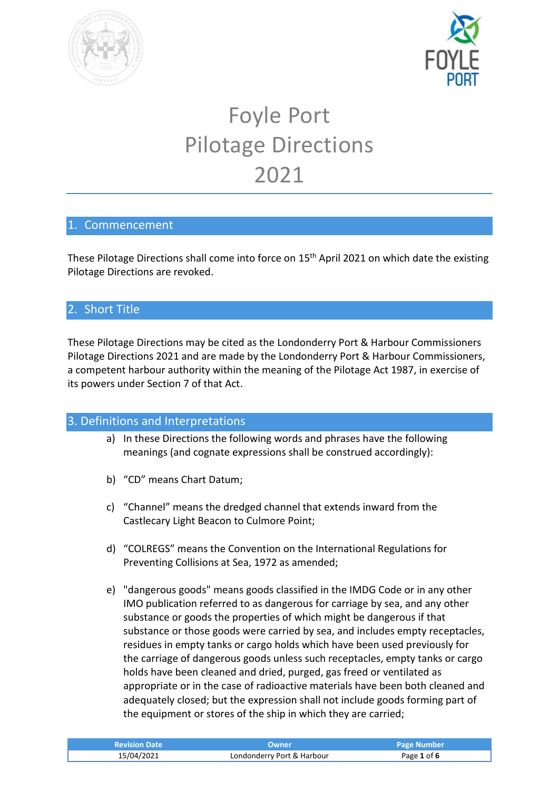



# Foyle Port Pilotage Directions 2021

# 1. Commencement

These Pilotage Directions shall come into force on 15<sup>th</sup> April 2021 on which date the existing Pilotage Directions are revoked.

# 2. Short Title

These Pilotage Directions may be cited as the Londonderry Port & Harbour Commissioners Pilotage Directions 2021 and are made by the Londonderry Port & Harbour Commissioners, a competent harbour authority within the meaning of the Pilotage Act 1987, in exercise of its powers under Section 7 of that Act.

## 3. Definitions and Interpretations

- a) In these Directions the following words and phrases have the following meanings (and cognate expressions shall be construed accordingly):
- b) "CD" means Chart Datum;
- c) "Channel" means the dredged channel that extends inward from the Castlecary Light Beacon to Culmore Point;
- d) "COLREGS" means the Convention on the International Regulations for Preventing Collisions at Sea, 1972 as amended;
- e) "dangerous goods" means goods classified in the IMDG Code or in any other IMO publication referred to as dangerous for carriage by sea, and any other substance or goods the properties of which might be dangerous if that substance or those goods were carried by sea, and includes empty receptacles, residues in empty tanks or cargo holds which have been used previously for the carriage of dangerous goods unless such receptacles, empty tanks or cargo holds have been cleaned and dried, purged, gas freed or ventilated as appropriate or in the case of radioactive materials have been both cleaned and adequately closed; but the expression shall not include goods forming part of the equipment or stores of the ship in which they are carried;

| <b>Revision Date</b> | Owner                      | <b>Page Number</b> |
|----------------------|----------------------------|--------------------|
| 15/04/2021           | Londonderry Port & Harbour | Page 1 of 6        |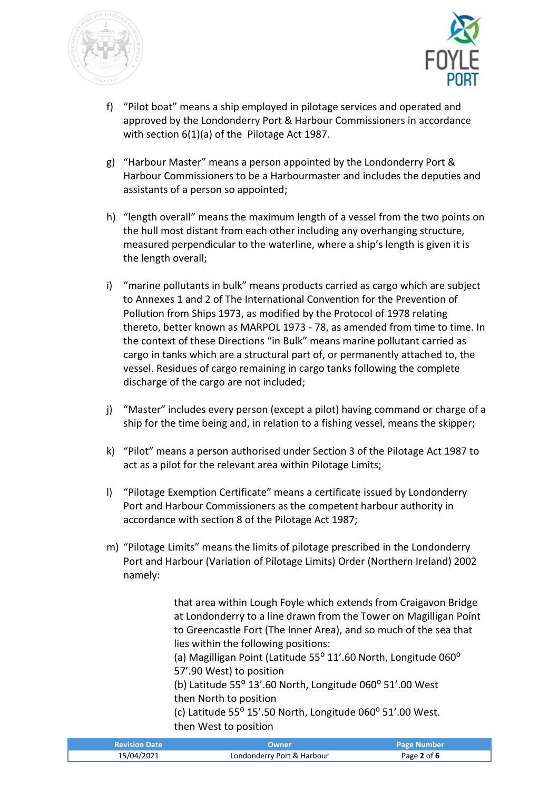



- f) "Pilot boat" means a ship employed in pilotage services and operated and approved by the Londonderry Port & Harbour Commissioners in accordance with section 6(1)(a) of the Pilotage Act 1987.
- g) "Harbour Master" means a person appointed by the Londonderry Port & Harbour Commissioners to be a Harbourmaster and includes the deputies and assistants of a person so appointed;
- h) "length overall" means the maximum length of a vessel from the two points on the hull most distant from each other including any overhanging structure, measured perpendicular to the waterline, where a ship's length is given it is the length overall;
- i) "marine pollutants in bulk" means products carried as cargo which are subject to Annexes 1 and 2 of The International Convention for the Prevention of Pollution from Ships 1973, as modified by the Protocol of 1978 relating thereto, better known as MARPOL 1973 - 78, as amended from time to time. In the context of these Directions "in Bulk" means marine pollutant carried as cargo in tanks which are a structural part of, or permanently attached to, the vessel. Residues of cargo remaining in cargo tanks following the complete discharge of the cargo are not included;
- j) "Master" includes every person (except a pilot) having command or charge of a ship for the time being and, in relation to a fishing vessel, means the skipper;
- k) "Pilot" means a person authorised under Section 3 of the Pilotage Act 1987 to act as a pilot for the relevant area within Pilotage Limits;
- l) "Pilotage Exemption Certificate" means a certificate issued by Londonderry Port and Harbour Commissioners as the competent harbour authority in accordance with section 8 of the Pilotage Act 1987;
- m) "Pilotage Limits" means the limits of pilotage prescribed in the Londonderry Port and Harbour (Variation of Pilotage Limits) Order (Northern Ireland) 2002 namely:

that area within Lough Foyle which extends from Craigavon Bridge at Londonderry to a line drawn from the Tower on Magilligan Point to Greencastle Fort (The Inner Area), and so much of the sea that lies within the following positions:

(a) Magilligan Point (Latitude  $55^{\circ}$  11'.60 North, Longitude 060 $^{\circ}$ 57'.90 West) to position

(b) Latitude  $55^{\circ}$  13'.60 North, Longitude 060 $^{\circ}$  51'.00 West then North to position

(c) Latitude 55 $^{\circ}$  15'.50 North, Longitude 060 $^{\circ}$  51'.00 West. then West to position

| <b>Revision Date</b> | Owner.                     | <b>Page Number</b> |
|----------------------|----------------------------|--------------------|
| 15/04/2021           | Londonderry Port & Harbour | Page 2 of 6        |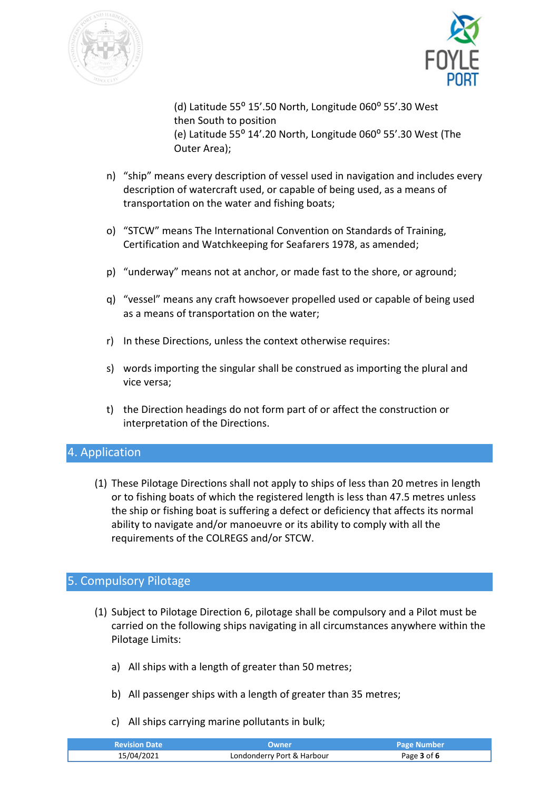



(d) Latitude 55 $^{\circ}$  15'.50 North, Longitude 060 $^{\circ}$  55'.30 West then South to position (e) Latitude 55° 14'.20 North, Longitude 060° 55'.30 West (The Outer Area);

- n) "ship" means every description of vessel used in navigation and includes every description of watercraft used, or capable of being used, as a means of transportation on the water and fishing boats;
- o) "STCW" means The International Convention on Standards of Training, Certification and Watchkeeping for Seafarers 1978, as amended;
- p) "underway" means not at anchor, or made fast to the shore, or aground;
- q) "vessel" means any craft howsoever propelled used or capable of being used as a means of transportation on the water;
- r) In these Directions, unless the context otherwise requires:
- s) words importing the singular shall be construed as importing the plural and vice versa;
- t) the Direction headings do not form part of or affect the construction or interpretation of the Directions.

## 4. Application

(1) These Pilotage Directions shall not apply to ships of less than 20 metres in length or to fishing boats of which the registered length is less than 47.5 metres unless the ship or fishing boat is suffering a defect or deficiency that affects its normal ability to navigate and/or manoeuvre or its ability to comply with all the requirements of the COLREGS and/or STCW.

## 5. Compulsory Pilotage

- (1) Subject to Pilotage Direction 6, pilotage shall be compulsory and a Pilot must be carried on the following ships navigating in all circumstances anywhere within the Pilotage Limits:
	- a) All ships with a length of greater than 50 metres;
	- b) All passenger ships with a length of greater than 35 metres;
	- c) All ships carrying marine pollutants in bulk;

| <b>Revision Date</b> | Owner                      | <b>Page Number</b> |
|----------------------|----------------------------|--------------------|
| 15/04/2021           | Londonderry Port & Harbour | Page 3 of 6        |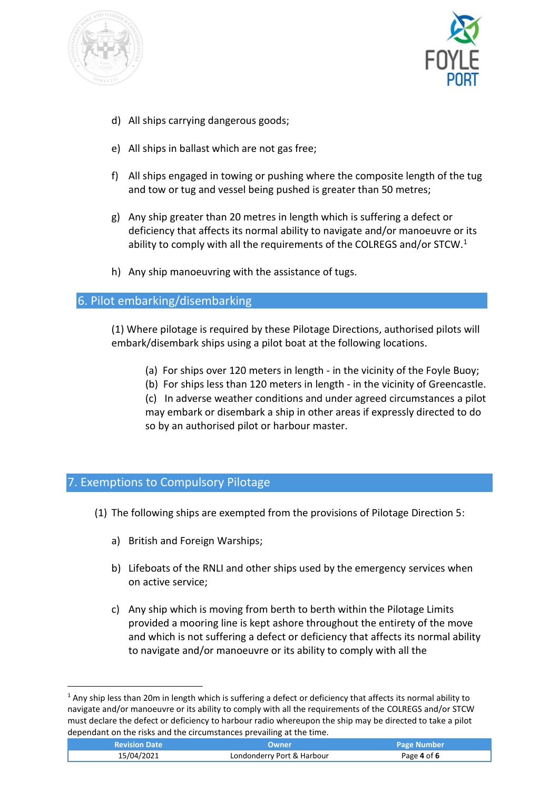



- d) All ships carrying dangerous goods;
- e) All ships in ballast which are not gas free;
- f) All ships engaged in towing or pushing where the composite length of the tug and tow or tug and vessel being pushed is greater than 50 metres;
- g) Any ship greater than 20 metres in length which is suffering a defect or deficiency that affects its normal ability to navigate and/or manoeuvre or its ability to comply with all the requirements of the COLREGS and/or STCW. $<sup>1</sup>$ </sup>
- h) Any ship manoeuvring with the assistance of tugs.

#### 6. Pilot embarking/disembarking

(1) Where pilotage is required by these Pilotage Directions, authorised pilots will embark/disembark ships using a pilot boat at the following locations.

- (a) For ships over 120 meters in length in the vicinity of the Foyle Buoy;
- (b) For ships less than 120 meters in length in the vicinity of Greencastle.

(c) In adverse weather conditions and under agreed circumstances a pilot may embark or disembark a ship in other areas if expressly directed to do so by an authorised pilot or harbour master.

## 7. Exemptions to Compulsory Pilotage

- (1) The following ships are exempted from the provisions of Pilotage Direction 5:
	- a) British and Foreign Warships;
	- b) Lifeboats of the RNLI and other ships used by the emergency services when on active service;
	- c) Any ship which is moving from berth to berth within the Pilotage Limits provided a mooring line is kept ashore throughout the entirety of the move and which is not suffering a defect or deficiency that affects its normal ability to navigate and/or manoeuvre or its ability to comply with all the

<sup>&</sup>lt;sup>1</sup> Any ship less than 20m in length which is suffering a defect or deficiency that affects its normal ability to navigate and/or manoeuvre or its ability to comply with all the requirements of the COLREGS and/or STCW must declare the defect or deficiency to harbour radio whereupon the ship may be directed to take a pilot dependant on the risks and the circumstances prevailing at the time.

| <b>Revision Date</b> | <b>Owner</b>               | <b>Page Number</b> |
|----------------------|----------------------------|--------------------|
| 15/04/2021           | Londonderry Port & Harbour | Page 4 of 6        |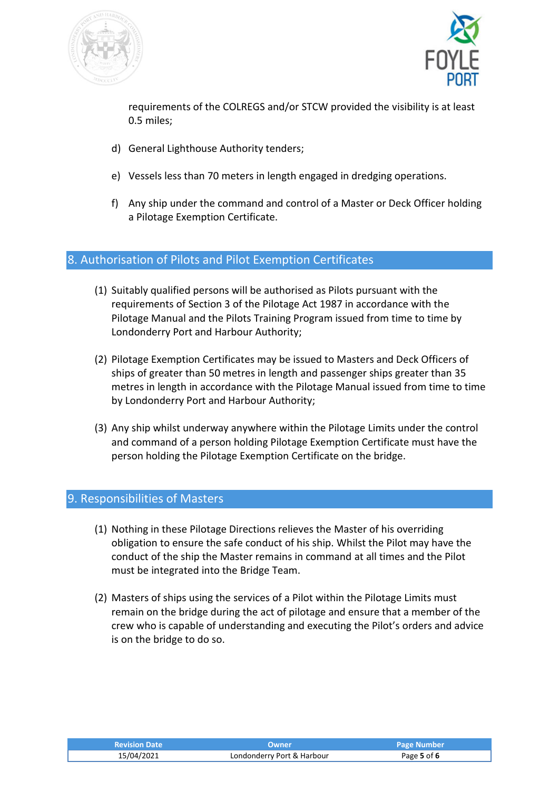



requirements of the COLREGS and/or STCW provided the visibility is at least 0.5 miles;

- d) General Lighthouse Authority tenders;
- e) Vessels less than 70 meters in length engaged in dredging operations.
- f) Any ship under the command and control of a Master or Deck Officer holding a Pilotage Exemption Certificate.

## 8. Authorisation of Pilots and Pilot Exemption Certificates

- (1) Suitably qualified persons will be authorised as Pilots pursuant with the requirements of Section 3 of the Pilotage Act 1987 in accordance with the Pilotage Manual and the Pilots Training Program issued from time to time by Londonderry Port and Harbour Authority;
- (2) Pilotage Exemption Certificates may be issued to Masters and Deck Officers of ships of greater than 50 metres in length and passenger ships greater than 35 metres in length in accordance with the Pilotage Manual issued from time to time by Londonderry Port and Harbour Authority;
- (3) Any ship whilst underway anywhere within the Pilotage Limits under the control and command of a person holding Pilotage Exemption Certificate must have the person holding the Pilotage Exemption Certificate on the bridge.

## 9. Responsibilities of Masters

- (1) Nothing in these Pilotage Directions relieves the Master of his overriding obligation to ensure the safe conduct of his ship. Whilst the Pilot may have the conduct of the ship the Master remains in command at all times and the Pilot must be integrated into the Bridge Team.
- (2) Masters of ships using the services of a Pilot within the Pilotage Limits must remain on the bridge during the act of pilotage and ensure that a member of the crew who is capable of understanding and executing the Pilot's orders and advice is on the bridge to do so.

| <b>Revision Date</b> | Owner                      | <b>Page Number</b> |
|----------------------|----------------------------|--------------------|
| 15/04/2021           | Londonderry Port & Harbour | Page 5 of 6        |